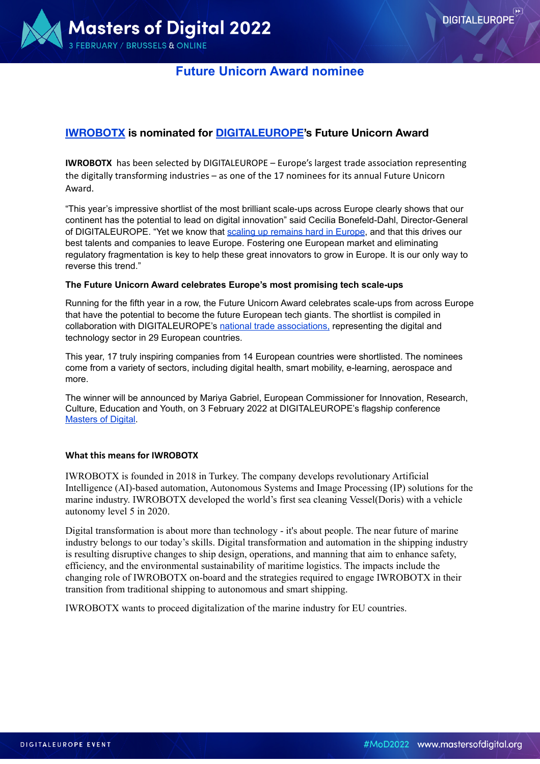

## **[IWROBOTX](http://www.iwrobotx.com) is nominated for [DIGITALEUROPE'](https://mastersofdigital.org/)s Future Unicorn Award**

**IWROBOTX** has been selected by [DIGITALEUROPE](https://www.digitaleurope.org/?post_type=resource&p=5598&preview=true) – Europe's largest trade association representing the digitally transforming industries – as one of the 17 nominees for its annual Future Unicorn Award.

"This year's impressive shortlist of the most brilliant scale-ups across Europe clearly shows that our continent has the potential to lead on digital innovation" said Cecilia Bonefeld-Dahl, Director-General of DIGITALEUROPE. "Yet we know that [scaling up remains hard in Europe](https://www.digitaleurope.org/resources/scaling-in-europe/), and that this drives our best talents and companies to leave Europe. Fostering one European market and eliminating regulatory fragmentation is key to help these great innovators to grow in Europe. It is our only way to reverse this trend."

#### **The Future Unicorn Award celebrates Europe's most promising tech scale-ups**

Running for the fifth year in a row, the Future Unicorn Award celebrates scale-ups from across Europe that have the potential to become the future European tech giants. The shortlist is compiled in collaboration with DIGITALEUROPE's [national trade associations,](https://www.digitaleurope.org/ntas/) representing the digital and technology sector in 29 European countries.

This year, 17 truly inspiring companies from 14 European countries were shortlisted. The nominees come from a variety of sectors, including digital health, smart mobility, e-learning, aerospace and more.

The winner will be announced by Mariya Gabriel, European Commissioner for Innovation, Research, Culture, Education and Youth, on 3 February 2022 at DIGITALEUROPE's flagship conference [Masters of Digital](https://mastersofdigital.org/).

#### **What this means for IWROBOTX**

IWROBOTX is founded in 2018 in Turkey. The company develops revolutionary Artificial Intelligence (AI)-based automation, Autonomous Systems and Image Processing (IP) solutions for the marine industry. IWROBOTX developed the world's first sea cleaning Vessel(Doris) with a vehicle autonomy level 5 in 2020.

Digital transformation is about more than technology - it's about people. The near future of marine industry belongs to our today's skills. Digital transformation and automation in the shipping industry is resulting disruptive changes to ship design, operations, and manning that aim to enhance safety, efficiency, and the environmental sustainability of maritime logistics. The impacts include the changing role of IWROBOTX on-board and the strategies required to engage IWROBOTX in their transition from traditional shipping to autonomous and smart shipping.

IWROBOTX wants to proceed digitalization of the marine industry for EU countries.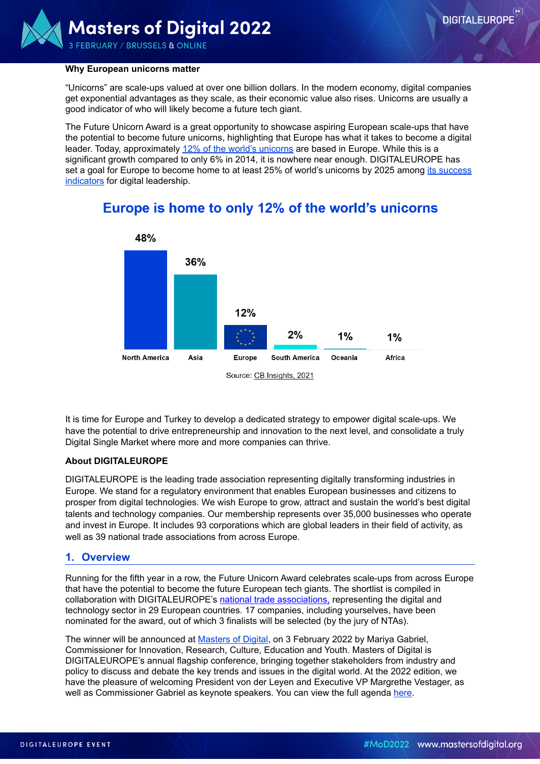

#### **Why European unicorns matter**

"Unicorns" are scale-ups valued at over one billion dollars. In the modern economy, digital companies get exponential advantages as they scale, as their economic value also rises. Unicorns are usually a good indicator of who will likely become a future tech giant.

The Future Unicorn Award is a great opportunity to showcase aspiring European scale-ups that have the potential to become future unicorns, highlighting that Europe has what it takes to become a digital leader. Today, approximately [12% of the world's unicorns](https://www.cbinsights.com/research-unicorn-companies) are based in Europe. While this is a significant growth compared to only 6% in 2014, it is nowhere near enough. DIGITALEUROPE has set a goal for Europe to become home to at least 25% of world's unicorns by 2025 among [its success](https://www.digitaleurope.org/key-indicators-for-a-stronger-digital-europe/)  [indicators](https://www.digitaleurope.org/key-indicators-for-a-stronger-digital-europe/) for digital leadership.



# Europe is home to only 12% of the world's unicorns

It is time for Europe and Turkey to develop a dedicated strategy to empower digital scale-ups. We have the potential to drive entrepreneurship and innovation to the next level, and consolidate a truly Digital Single Market where more and more companies can thrive.

#### **About DIGITALEUROPE**

DIGITALEUROPE is the leading trade association representing digitally transforming industries in Europe. We stand for a regulatory environment that enables European businesses and citizens to prosper from digital technologies. We wish Europe to grow, attract and sustain the world's best digital talents and technology companies. Our membership represents over 35,000 businesses who operate and invest in Europe. It includes 93 corporations which are global leaders in their field of activity, as well as 39 national trade associations from across Europe.

#### **1. Overview**

Running for the fifth year in a row, the Future Unicorn Award celebrates scale-ups from across Europe that have the potential to become the future European tech giants. The shortlist is compiled in collaboration with DIGITALEUROPE's [national trade associations,](https://www.digitaleurope.org/ntas/) representing the digital and technology sector in 29 European countries. 17 companies, including yourselves, have been nominated for the award, out of which 3 finalists will be selected (by the jury of NTAs).

The winner will be announced at [Masters of Digital](https://mastersofdigital.org/), on 3 February 2022 by Mariya Gabriel, Commissioner for Innovation, Research, Culture, Education and Youth. Masters of Digital is DIGITALEUROPE's annual flagship conference, bringing together stakeholders from industry and policy to discuss and debate the key trends and issues in the digital world. At the 2022 edition, we have the pleasure of welcoming President von der Leyen and Executive VP Margrethe Vestager, as well as Commissioner Gabriel as keynote speakers. You can view the full agenda [here.](https://mastersofdigital.org/agenda/)